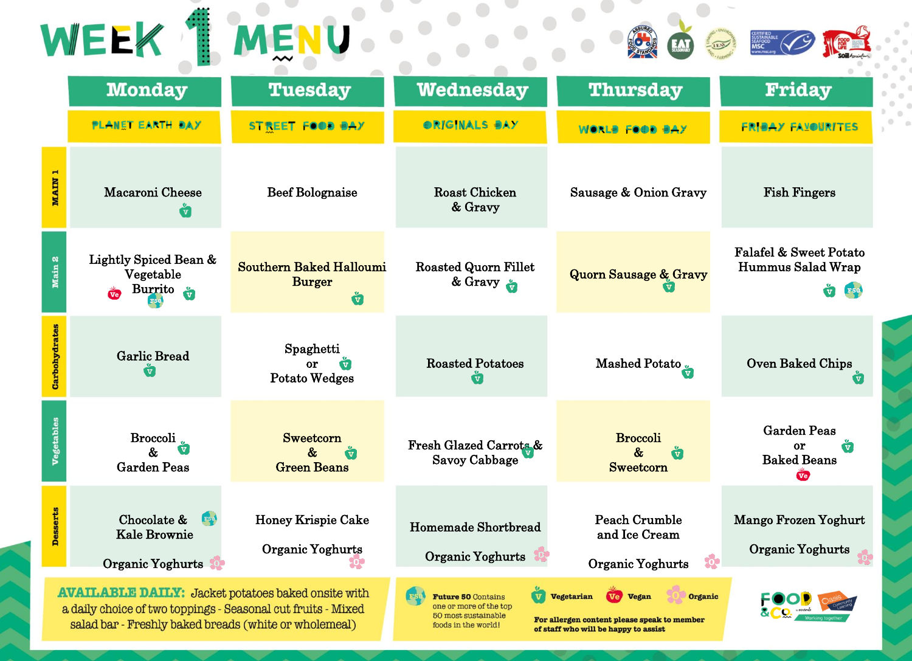| WEEK<br>MENU                                                                                                                                                                       |                                                                          |                                                                    |                                                                                                                              |                                                                                                                                 |                                                                                  |  |  |
|------------------------------------------------------------------------------------------------------------------------------------------------------------------------------------|--------------------------------------------------------------------------|--------------------------------------------------------------------|------------------------------------------------------------------------------------------------------------------------------|---------------------------------------------------------------------------------------------------------------------------------|----------------------------------------------------------------------------------|--|--|
|                                                                                                                                                                                    | <b>Monday</b>                                                            | <b>Tuesday</b>                                                     | <b>Wednesday</b>                                                                                                             | <b>Thursday</b>                                                                                                                 | Friday                                                                           |  |  |
|                                                                                                                                                                                    | <b>PLANET EARTH BAY</b>                                                  | <b>STREET FOOD BAY</b>                                             | ORIGINALS BAY                                                                                                                | WORLS FOOD SAY                                                                                                                  | <b>FRIBAY FAXOURITES</b>                                                         |  |  |
| MAIN <sub>1</sub>                                                                                                                                                                  | Macaroni Cheese<br>$\overline{\mathbf{v}}$                               | <b>Beef Bolognaise</b>                                             | <b>Roast Chicken</b><br>& Gravy                                                                                              | Sausage & Onion Gravy                                                                                                           | <b>Fish Fingers</b>                                                              |  |  |
| Main 2                                                                                                                                                                             | Lightly Spiced Bean &<br>Vegetable<br>Burrito $\frac{v}{v}$<br><b>Ve</b> | <b>Southern Baked Halloumi</b><br><b>Burger</b><br>Ů               | <b>Roasted Quorn Fillet</b><br>& Gravy                                                                                       | <b>Quorn Sausage &amp; Gravy</b>                                                                                                | Falafel & Sweet Potato<br>Hummus Salad Wrap<br>$\overline{\textbf{v}}$           |  |  |
| Carbohydrates                                                                                                                                                                      | <b>Garlic Bread</b>                                                      | Spaghetti<br>or<br>$\overline{\mathbf{v}}$<br><b>Potato Wedges</b> | <b>Roasted Potatoes</b>                                                                                                      | Mashed Potato                                                                                                                   | <b>Oven Baked Chips</b>                                                          |  |  |
| <b>Vegetables</b>                                                                                                                                                                  | <b>Broccoli</b><br><b>Garden Peas</b>                                    | <b>Sweetcorn</b><br><b>Green Beans</b>                             | Fresh Glazed Carrots &<br><b>Savoy Cabbage</b>                                                                               | <b>Broccoli</b><br><b>Sweetcorn</b>                                                                                             | <b>Garden Peas</b><br><b>or</b><br>$\overline{\mathbf{v}}$<br><b>Baked Beans</b> |  |  |
| <b>Desserts</b>                                                                                                                                                                    | Chocolate &<br><b>Kale Brownie</b><br>Organic Yoghurts                   | <b>Honey Krispie Cake</b><br>Organic Yoghurts                      | Homemade Shortbread<br>Organic Yoghurts                                                                                      | <b>Peach Crumble</b><br>and Ice Cream<br>ŵ<br><b>Organic Yoghurts</b>                                                           | Mango Frozen Yoghurt<br>Organic Yoghurts                                         |  |  |
| <b>AVAILABLE DAILY:</b> Jacket potatoes baked onsite with<br>a daily choice of two toppings - Seasonal cut fruits - Mixed<br>salad bar - Freshly baked breads (white or wholemeal) |                                                                          |                                                                    | $\overline{\mathbf{v}}$<br><b>Future 50 Contains</b><br>one or more of the top<br>50 most sustainable<br>foods in the world! | <b>Vegetarian</b><br>Ve Vegan<br>Organic<br>For allergen content please speak to member<br>of staff who will be happy to assist |                                                                                  |  |  |

×  $\odot$  $\alpha$  $\odot$  $\circ$ Ŵ, di.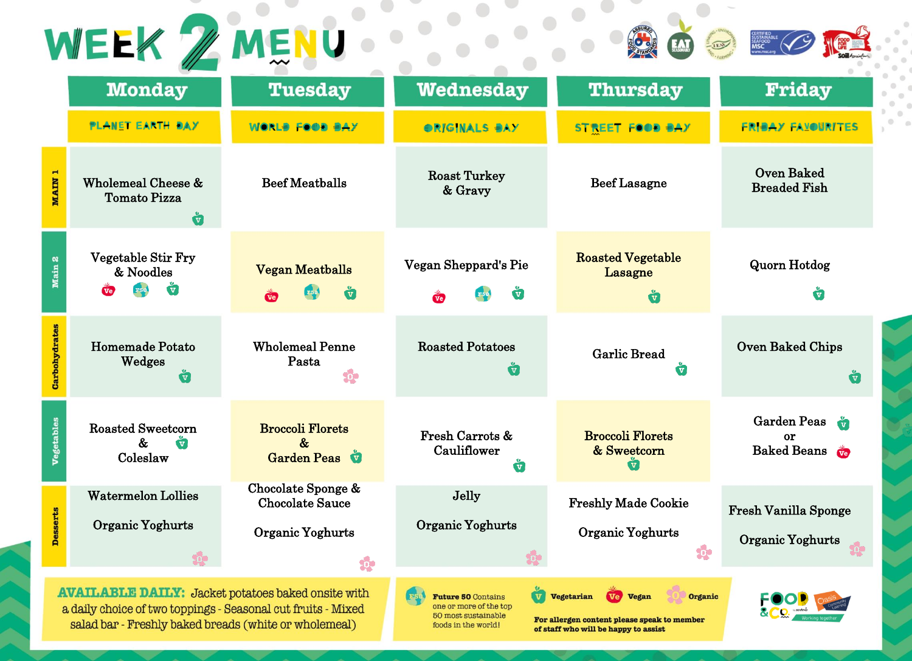| WEEK ZMENU                                                                                                                                                                                                                                                                                                                                                                                                                                          |                                                                       |                                                                        |                                                           |                                                      |                                                        |  |  |  |
|-----------------------------------------------------------------------------------------------------------------------------------------------------------------------------------------------------------------------------------------------------------------------------------------------------------------------------------------------------------------------------------------------------------------------------------------------------|-----------------------------------------------------------------------|------------------------------------------------------------------------|-----------------------------------------------------------|------------------------------------------------------|--------------------------------------------------------|--|--|--|
|                                                                                                                                                                                                                                                                                                                                                                                                                                                     | <b>Monday</b>                                                         | <b>Tuesday</b>                                                         | <b>Wednesday</b>                                          | <b>Thursday</b>                                      | Friday                                                 |  |  |  |
|                                                                                                                                                                                                                                                                                                                                                                                                                                                     | <b>PLANET EARTH BAY</b>                                               | WORLS FOOD SAY                                                         | ORIGINALS SAY                                             | <b>STREET FOOD BAY</b>                               | <b>FRIBAY FAXOURITES</b>                               |  |  |  |
| <b>MAIN</b>                                                                                                                                                                                                                                                                                                                                                                                                                                         | Wholemeal Cheese &<br><b>Tomato Pizza</b><br>Ů                        | <b>Beef Meatballs</b>                                                  | <b>Roast Turkey</b><br>& Gravy                            | <b>Beef Lasagne</b>                                  | <b>Oven Baked</b><br><b>Breaded Fish</b>               |  |  |  |
| Main 2                                                                                                                                                                                                                                                                                                                                                                                                                                              | <b>Vegetable Stir Fry</b><br>& Noodles<br>$\tilde{\mathbf{v}}$<br>Ve. | <b>Vegan Meatballs</b><br>ů<br>$\overline{\mathbf{v}}$ e               | Vegan Sheppard's Pie<br>$\overline{\mathbf{v}}$ e         | <b>Roasted Vegetable</b><br>Lasagne<br>ů             | <b>Quorn Hotdog</b><br>$\mathbf{v}$                    |  |  |  |
| Carbohydrates                                                                                                                                                                                                                                                                                                                                                                                                                                       | Homemade Potato<br>Wedges<br>ů                                        | <b>Wholemeal Penne</b><br>Pasta                                        | <b>Roasted Potatoes</b><br>ů                              | <b>Garlic Bread</b><br>Ŵ                             | <b>Oven Baked Chips</b><br>$\ddot{\mathbf{u}}$         |  |  |  |
| <b>Vegetables</b>                                                                                                                                                                                                                                                                                                                                                                                                                                   | <b>Roasted Sweetcorn</b><br>$\&$<br>$\mathbf{v}$<br>Coleslaw          | <b>Broccoli Florets</b><br>$\mathcal{R}_{\mathcal{I}}$<br>Garden Peas  | Fresh Carrots &<br>Cauliflower<br>$\overline{\mathbf{v}}$ | <b>Broccoli Florets</b><br>& Sweetcorn               | Garden Peas<br>or<br><b>Baked Beans</b>                |  |  |  |
| <b>Desserts</b>                                                                                                                                                                                                                                                                                                                                                                                                                                     | <b>Watermelon Lollies</b><br>Organic Yoghurts<br>ŵ                    | Chocolate Sponge &<br><b>Chocolate Sauce</b><br>Organic Yoghurts<br>Ŷ. | Jelly<br>Organic Yoghurts                                 | <b>Freshly Made Cookie</b><br>Organic Yoghurts<br>Ş. | <b>Fresh Vanilla Sponge</b><br><b>Organic Yoghurts</b> |  |  |  |
| <b>AVAILABLE DAILY:</b> Jacket potatoes baked onsite with<br><b>V</b> Vegetarian<br><b>Future 50 Contains</b><br>Ve <sup>2</sup><br>Organic<br><b>Vegan</b><br>one or more of the top<br>a daily choice of two toppings - Seasonal cut fruits - Mixed<br>50 most sustainable<br>For allergen content please speak to member<br>salad bar - Freshly baked breads (white or wholemeal)<br>foods in the world!<br>of staff who will be happy to assist |                                                                       |                                                                        |                                                           |                                                      |                                                        |  |  |  |